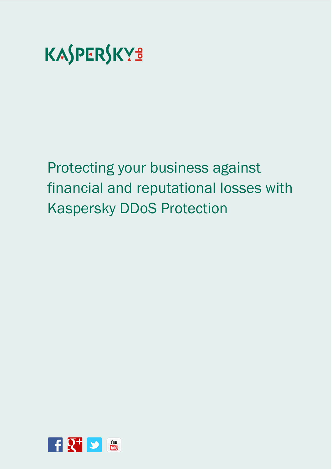

Protecting your business against financial and reputational losses with Kaspersky DDoS Protection

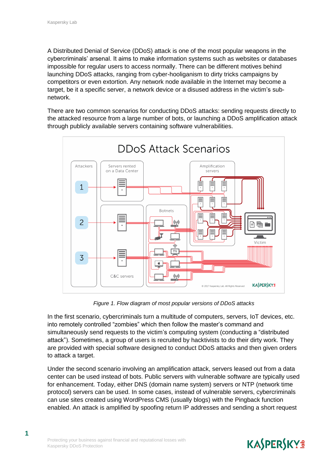A Distributed Denial of Service (DDoS) attack is one of the most popular weapons in the cybercriminals' arsenal. It aims to make information systems such as websites or databases impossible for regular users to access normally. There can be different motives behind launching DDoS attacks, ranging from cyber-hooliganism to dirty tricks campaigns by competitors or even extortion. Any network node available in the Internet may become a target, be it a specific server, a network device or a disused address in the victim's subnetwork.

There are two common scenarios for conducting DDoS attacks: sending requests directly to the attacked resource from a large number of bots, or launching a DDoS amplification attack through publicly available servers containing software vulnerabilities.



*Figure 1. Flow diagram of most popular versions of DDoS attacks*

In the first scenario, cybercriminals turn a multitude of computers, servers, IoT devices, etc. into remotely controlled "zombies" which then follow the master's command and simultaneously send requests to the victim's computing system (conducting a "distributed attack"). Sometimes, a group of users is recruited by hacktivists to do their dirty work. They are provided with special software designed to conduct DDoS attacks and then given orders to attack a target.

Under the second scenario involving an amplification attack, servers leased out from a data center can be used instead of bots. Public servers with vulnerable software are typically used for enhancement. Today, either DNS (domain name system) servers or NTP (network time protocol) servers can be used. In some cases, instead of vulnerable servers, cybercriminals can use sites created using WordPress CMS (usually blogs) with the Pingback function enabled. An attack is amplified by spoofing return IP addresses and sending a short request

### **KASPERSKYS**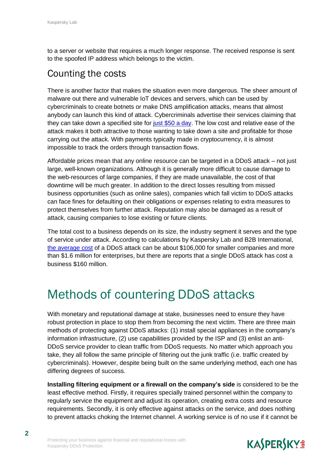to a server or website that requires a much longer response. The received response is sent to the spoofed IP address which belongs to the victim.

#### Counting the costs

There is another factor that makes the situation even more dangerous. The sheer amount of malware out there and vulnerable IoT devices and servers, which can be used by cybercriminals to create botnets or make DNS amplification attacks, means that almost anybody can launch this kind of attack. Cybercriminals advertise their services claiming that they can take down a specified site for [just \\$50 a day](https://securelist.com/analysis/publications/77784/the-cost-of-launching-a-ddos-attack/). The low cost and relative ease of the attack makes it both attractive to those wanting to take down a site and profitable for those carrying out the attack. With payments typically made in cryptocurrency, it is almost impossible to track the orders through transaction flows.

Affordable prices mean that any online resource can be targeted in a DDoS attack – not just large, well-known organizations. Although it is generally more difficult to cause damage to the web-resources of large companies, if they are made unavailable, the cost of that downtime will be much greater. In addition to the direct losses resulting from missed business opportunities (such as online sales), companies which fall victim to DDoS attacks can face fines for defaulting on their obligations or expenses relating to extra measures to protect themselves from further attack. Reputation may also be damaged as a result of attack, causing companies to lose existing or future clients.

The total cost to a business depends on its size, the industry segment it serves and the type of service under attack. According to calculations by Kaspersky Lab and B2B International, [the average cost](https://www.kaspersky.com/about/press-releases/2016_Lose-a-Fortune-One-DDoS-Attack-Can-Cost-a-Company-Over-1.6M) of a DDoS attack can be about \$106,000 for smaller companies and more than \$1.6 million for enterprises, but there are reports that a single DDoS attack has cost a business \$160 million.

# Methods of countering DDoS attacks

With monetary and reputational damage at stake, businesses need to ensure they have robust protection in place to stop them from becoming the next victim. There are three main methods of protecting against DDoS attacks: (1) install special appliances in the company's information infrastructure, (2) use capabilities provided by the ISP and (3) enlist an anti-DDoS service provider to clean traffic from DDoS requests. No matter which approach you take, they all follow the same principle of filtering out the junk traffic (i.e. traffic created by cybercriminals). However, despite being built on the same underlying method, each one has differing degrees of success.

**Installing filtering equipment or a firewall on the company's side** is considered to be the least effective method. Firstly, it requires specially trained personnel within the company to regularly service the equipment and adjust its operation, creating extra costs and resource requirements. Secondly, it is only effective against attacks on the service, and does nothing to prevent attacks choking the Internet channel. A working service is of no use if it cannot be

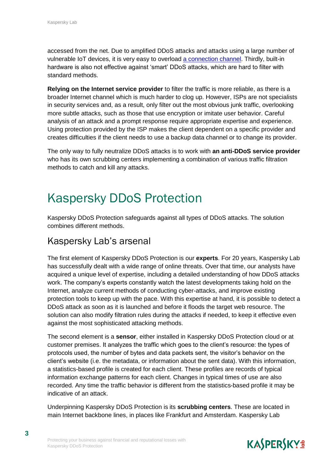accessed from the net. Due to amplified DDoS attacks and attacks using a large number of vulnerable IoT devices, it is very easy to overload [a connection channel.](https://blog.kaspersky.com/attack-on-dyn-explained/13325/) Thirdly, built-in hardware is also not effective against 'smart' DDoS attacks, which are hard to filter with standard methods.

**Relying on the Internet service provider** to filter the traffic is more reliable, as there is a broader Internet channel which is much harder to clog up. However, ISPs are not specialists in security services and, as a result, only filter out the most obvious junk traffic, overlooking more subtle attacks, such as those that use encryption or imitate user behavior. Careful analysis of an attack and a prompt response require appropriate expertise and experience. Using protection provided by the ISP makes the client dependent on a specific provider and creates difficulties if the client needs to use a backup data channel or to change its provider.

The only way to fully neutralize DDoS attacks is to work with **an anti-DDoS service provider** who has its own scrubbing centers implementing a combination of various traffic filtration methods to catch and kill any attacks.

## Kaspersky DDoS Protection

Kaspersky DDoS Protection safeguards against all types of DDoS attacks. The solution combines different methods.

#### Kaspersky Lab's arsenal

The first element of Kaspersky DDoS Protection is our **experts**. For 20 years, Kaspersky Lab has successfully dealt with a wide range of online threats. Over that time, our analysts have acquired a unique level of expertise, including a detailed understanding of how DDoS attacks work. The company's experts constantly watch the latest developments taking hold on the Internet, analyze current methods of conducting cyber-attacks, and improve existing protection tools to keep up with the pace. With this expertise at hand, it is possible to detect a DDoS attack as soon as it is launched and before it floods the target web resource. The solution can also modify filtration rules during the attacks if needed, to keep it effective even against the most sophisticated attacking methods.

The second element is a **sensor**, either installed in Kaspersky DDoS Protection cloud or at customer premises. It analyzes the traffic which goes to the client's resource: the types of protocols used, the number of bytes and data packets sent, the visitor's behavior on the client's website (i.e. the metadata, or information about the sent data). With this information, a statistics-based profile is created for each client. These profiles are records of typical information exchange patterns for each client. Changes in typical times of use are also recorded. Any time the traffic behavior is different from the statistics-based profile it may be indicative of an attack.

Underpinning Kaspersky DDoS Protection is its **scrubbing centers**. These are located in main Internet backbone lines, in places like Frankfurt and Amsterdam. Kaspersky Lab

**3**

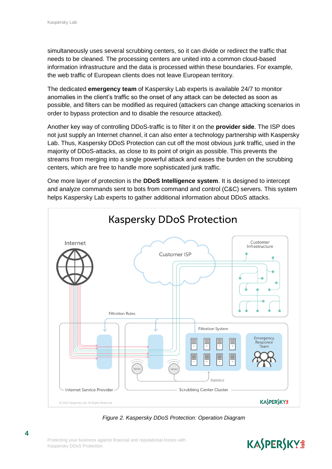simultaneously uses several scrubbing centers, so it can divide or redirect the traffic that needs to be cleaned. The processing centers are united into a common cloud-based information infrastructure and the data is processed within these boundaries. For example, the web traffic of European clients does not leave European territory.

The dedicated **emergency team** of Kaspersky Lab experts is available 24/7 to monitor anomalies in the client's traffic so the onset of any attack can be detected as soon as possible, and filters can be modified as required (attackers can change attacking scenarios in order to bypass protection and to disable the resource attacked).

Another key way of controlling DDoS-traffic is to filter it on the **provider side**. The ISP does not just supply an Internet channel, it can also enter a technology partnership with Kaspersky Lab. Thus, Kaspersky DDoS Protection can cut off the most obvious junk traffic, used in the majority of DDoS-attacks, as close to its point of origin as possible. This prevents the streams from merging into a single powerful attack and eases the burden on the scrubbing centers, which are free to handle more sophisticated junk traffic.

One more layer of protection is the **DDoS Intelligence system**. It is designed to intercept and analyze commands sent to bots from command and control (C&C) servers. This system helps Kaspersky Lab experts to gather additional information about DDoS attacks.



*Figure 2. Kaspersky DDoS Protection: Operation Diagram*

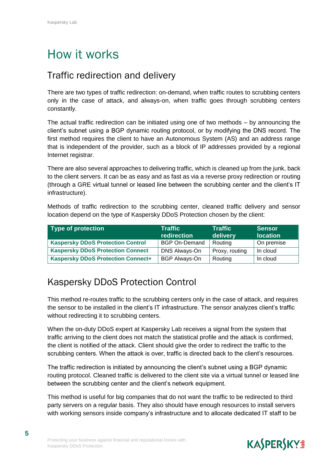## How it works

#### Traffic redirection and delivery

There are two types of traffic redirection: on-demand, when traffic routes to scrubbing centers only in the case of attack, and always-on, when traffic goes through scrubbing centers constantly.

The actual traffic redirection can be initiated using one of two methods – by announcing the client's subnet using a BGP dynamic routing protocol, or by modifying the DNS record. The first method requires the client to have an Autonomous System (AS) and an address range that is independent of the provider, such as a block of IP addresses provided by a regional Internet registrar.

There are also several approaches to delivering traffic, which is cleaned up from the junk, back to the client servers. It can be as easy and as fast as via a reverse proxy redirection or routing (through a GRE virtual tunnel or leased line between the scrubbing center and the client's IT infrastructure).

Methods of traffic redirection to the scrubbing center, cleaned traffic delivery and sensor location depend on the type of Kaspersky DDoS Protection chosen by the client:

| Type of protection                        | Traffic<br>redirection | <b>Traffic</b><br>delivery | <b>Sensor</b><br><b>location</b> |
|-------------------------------------------|------------------------|----------------------------|----------------------------------|
| <b>Kaspersky DDoS Protection Control</b>  | <b>BGP On-Demand</b>   | Routing                    | On premise                       |
| <b>Kaspersky DDoS Protection Connect</b>  | DNS Always-On          | Proxy, routing             | In cloud                         |
| <b>Kaspersky DDoS Protection Connect+</b> | <b>BGP Always-On</b>   | Routing                    | In cloud                         |

#### Kaspersky DDoS Protection Control

This method re-routes traffic to the scrubbing centers only in the case of attack, and requires the sensor to be installed in the client's IT infrastructure. The sensor analyzes client's traffic without redirecting it to scrubbing centers.

When the on-duty DDoS expert at Kaspersky Lab receives a signal from the system that traffic arriving to the client does not match the statistical profile and the attack is confirmed, the client is notified of the attack. Client should give the order to redirect the traffic to the scrubbing centers. When the attack is over, traffic is directed back to the client's resources.

The traffic redirection is initiated by announcing the client's subnet using a BGP dynamic routing protocol. Cleaned traffic is delivered to the client site via a virtual tunnel or leased line between the scrubbing center and the client's network equipment.

This method is useful for big companies that do not want the traffic to be redirected to third party servers on a regular basis. They also should have enough resources to install servers with working sensors inside company's infrastructure and to allocate dedicated IT staff to be



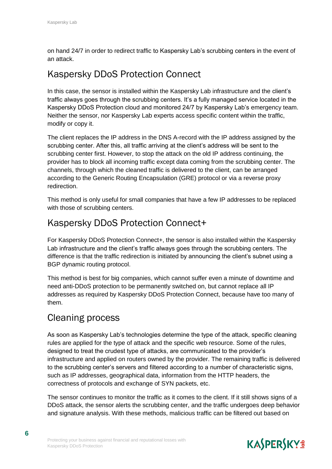on hand 24/7 in order to redirect traffic to Kaspersky Lab's scrubbing centers in the event of an attack.

#### Kaspersky DDoS Protection Connect

In this case, the sensor is installed within the Kaspersky Lab infrastructure and the client's traffic always goes through the scrubbing centers. It's a fully managed service located in the Kaspersky DDoS Protection cloud and monitored 24/7 by Kaspersky Lab's emergency team. Neither the sensor, nor Kaspersky Lab experts access specific content within the traffic, modify or copy it.

The client replaces the IP address in the DNS A-record with the IP address assigned by the scrubbing center. After this, all traffic arriving at the client's address will be sent to the scrubbing center first. However, to stop the attack on the old IP address continuing, the provider has to block all incoming traffic except data coming from the scrubbing center. The channels, through which the cleaned traffic is delivered to the client, can be arranged according to the Generic Routing Encapsulation (GRE) protocol or via a reverse proxy redirection.

This method is only useful for small companies that have a few IP addresses to be replaced with those of scrubbing centers.

#### Kaspersky DDoS Protection Connect+

For Kaspersky DDoS Protection Connect+, the sensor is also installed within the Kaspersky Lab infrastructure and the client's traffic always goes through the scrubbing centers. The difference is that the traffic redirection is initiated by announcing the client's subnet using a BGP dynamic routing protocol.

This method is best for big companies, which cannot suffer even a minute of downtime and need anti-DDoS protection to be permanently switched on, but cannot replace all IP addresses as required by Kaspersky DDoS Protection Connect, because have too many of them.

#### Cleaning process

As soon as Kaspersky Lab's technologies determine the type of the attack, specific cleaning rules are applied for the type of attack and the specific web resource. Some of the rules, designed to treat the crudest type of attacks, are communicated to the provider's infrastructure and applied on routers owned by the provider. The remaining traffic is delivered to the scrubbing center's servers and filtered according to a number of characteristic signs, such as IP addresses, geographical data, information from the HTTP headers, the correctness of protocols and exchange of SYN packets, etc.

The sensor continues to monitor the traffic as it comes to the client. If it still shows signs of a DDoS attack, the sensor alerts the scrubbing center, and the traffic undergoes deep behavior and signature analysis. With these methods, malicious traffic can be filtered out based on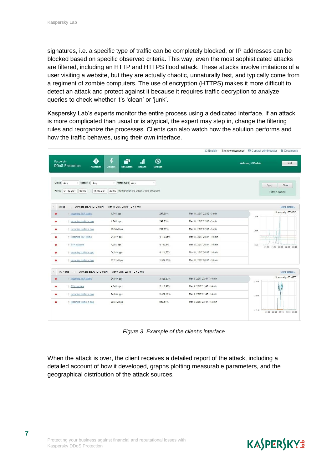signatures, i.e. a specific type of traffic can be completely blocked, or IP addresses can be blocked based on specific observed criteria. This way, even the most sophisticated attacks are filtered, including an HTTP and HTTPS flood attack. These attacks involve imitations of a user visiting a website, but they are actually chaotic, unnaturally fast, and typically come from a regiment of zombie computers. The use of encryption (HTTPS) makes it more difficult to detect an attack and protect against it because it requires traffic decryption to analyze queries to check whether it's 'clean' or 'junk'.

Kaspersky Lab's experts monitor the entire process using a dedicated interface. If an attack is more complicated than usual or is atypical, the expert may step in, change the filtering rules and reorganize the processes. Clients can also watch how the solution performs and how the traffic behaves, using their own interface.

|                                                                                                |                                                            |                     |                        |                       |                      |                             | G English - No new messages C Contact administrator |                   | <b>Documents</b>                     |
|------------------------------------------------------------------------------------------------|------------------------------------------------------------|---------------------|------------------------|-----------------------|----------------------|-----------------------------|-----------------------------------------------------|-------------------|--------------------------------------|
| Kaspersky<br><b>DDoS Protection</b>                                                            | <b>Anomalies</b>                                           | 4<br><b>Attacks</b> | ٦ī<br><b>Resources</b> | al.<br><b>Reports</b> | 懋<br><b>Settings</b> |                             |                                                     | Welcome, KDPadmin | Quit                                 |
| Group Any<br>Period 01.12.2016 00:00 - 15.03.201' 23:56 during which the attacks were observed | Resource Any                                               |                     | * Attack type Any      |                       | $\pmb{\mathrm{v}}$   |                             |                                                     |                   | Apply.<br>Clear<br>Filter is applied |
| Mixed<br>$\Delta$                                                                              | - www.etp-ets.ru (ETS-Main) Mar 11, 2017 20:06 - 2 h 1 min |                     |                        |                       |                      |                             |                                                     |                   | More details »                       |
| Incoming TCP traffic<br>$\bullet$                                                              |                                                            | 1,74K pps           |                        |                       | 247.69%              | Mar 11, 2017 22:00 - 3 min  |                                                     | 2,22K             | Id anomaly: 6630815                  |
| Incoming traffic in pps<br>۰                                                                   |                                                            | 1,74K pps           |                        |                       | 247.75%              | Mar 11, 2017 22:00 - 3 min  |                                                     |                   |                                      |
| + Incoming traffic in bps<br>٠                                                                 |                                                            | 16,36M bps          |                        |                       | 299.27%              | Mar 11, 2017 22:00 - 3 min  |                                                     | 1,15K             |                                      |
| + Incoming TCP traffic<br>٠                                                                    |                                                            | 24,97K pps          |                        |                       | 4 110.86%            | Mar 11, 2017 20:07 - 10 min |                                                     |                   |                                      |
| + SYN packets<br>٠                                                                             |                                                            | 4,05K pps           |                        |                       | 4 760.8%             | Mar 11, 2017 20:07 - 10 min |                                                     | 83.7              | 21:30 21:50 22:05 22:20 22:40        |
| † Incoming traffic in pps<br>٠                                                                 |                                                            | 24.98K pps          |                        |                       | 4 111.79%            | Mar 11, 2017 20:07 - 10 min |                                                     |                   |                                      |
| t Incoming traffic in bps<br>۰                                                                 |                                                            | 27.21M bps          |                        |                       | 1964.33%             | Mar 11, 2017 20:07 - 10 min |                                                     |                   |                                      |
| TCP data - www.etp-ets.ru (ETS-Main) Mar 9, 2017 22:46 - 2 h 2 min<br>$\Delta$                 |                                                            |                     |                        |                       |                      |                             |                                                     |                   | More details »                       |
| 1 Incoming TCP traffic<br>٠                                                                    |                                                            | 24,93K pps          |                        |                       | 3 828.53%            | Mar 9, 2017 22:47 - 14 min  |                                                     | 25.55K            | Id anomaly: 6614737                  |
| <b>SYN packets</b><br>۰                                                                        |                                                            | 4,34K pps           |                        |                       | 5 112.98%            | Mar 9. 2017 22:47 - 14 min  |                                                     |                   |                                      |
| <sup>†</sup> Incoming traffic in pps<br>٠                                                      |                                                            | 24,93K pps          |                        |                       | 3 829.12%            | Mar 9, 2017 22:47 - 14 min  |                                                     | 32,86K            |                                      |
| <sup>†</sup> Incoming traffic in bps<br>۰                                                      |                                                            | 29,81M bps          |                        |                       | 650.61%              | Mar 9, 2017 22:47 - 13 min  |                                                     |                   |                                      |
|                                                                                                |                                                            |                     |                        |                       |                      |                             |                                                     | 177.18            | 22:20 22:40 22:55 23:10 23:30        |
|                                                                                                |                                                            |                     |                        |                       |                      |                             |                                                     |                   |                                      |

*Figure 3. Example of the client's interface* 

When the attack is over, the client receives a detailed report of the attack, including a detailed account of how it developed, graphs plotting measurable parameters, and the geographical distribution of the attack sources.

### **KASPERSKYS**